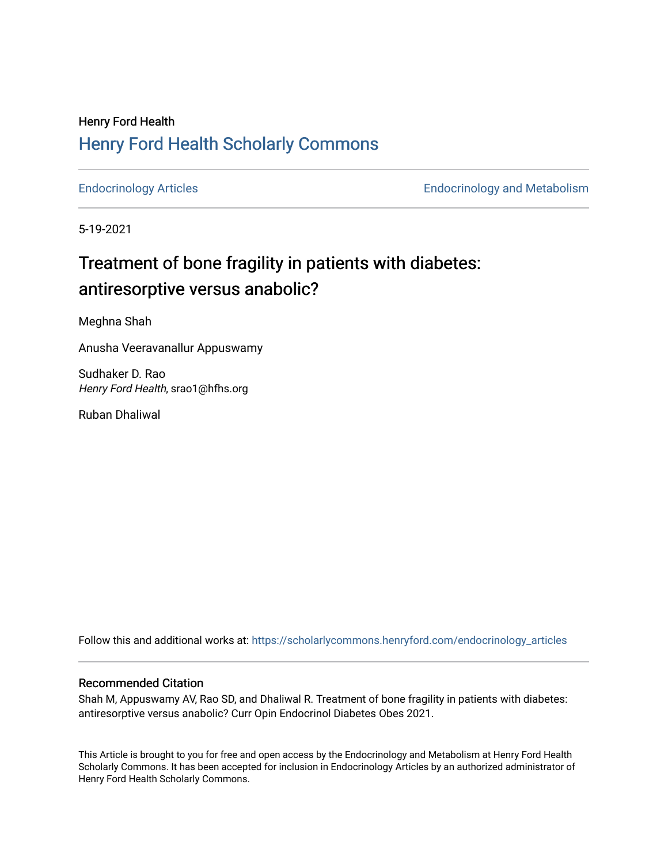## Henry Ford Health [Henry Ford Health Scholarly Commons](https://scholarlycommons.henryford.com/)

[Endocrinology Articles](https://scholarlycommons.henryford.com/endocrinology_articles) [Endocrinology and Metabolism](https://scholarlycommons.henryford.com/endocrinology) 

5-19-2021

## Treatment of bone fragility in patients with diabetes: antiresorptive versus anabolic?

Meghna Shah

Anusha Veeravanallur Appuswamy

Sudhaker D. Rao Henry Ford Health, srao1@hfhs.org

Ruban Dhaliwal

Follow this and additional works at: [https://scholarlycommons.henryford.com/endocrinology\\_articles](https://scholarlycommons.henryford.com/endocrinology_articles?utm_source=scholarlycommons.henryford.com%2Fendocrinology_articles%2F104&utm_medium=PDF&utm_campaign=PDFCoverPages)

## Recommended Citation

Shah M, Appuswamy AV, Rao SD, and Dhaliwal R. Treatment of bone fragility in patients with diabetes: antiresorptive versus anabolic? Curr Opin Endocrinol Diabetes Obes 2021.

This Article is brought to you for free and open access by the Endocrinology and Metabolism at Henry Ford Health Scholarly Commons. It has been accepted for inclusion in Endocrinology Articles by an authorized administrator of Henry Ford Health Scholarly Commons.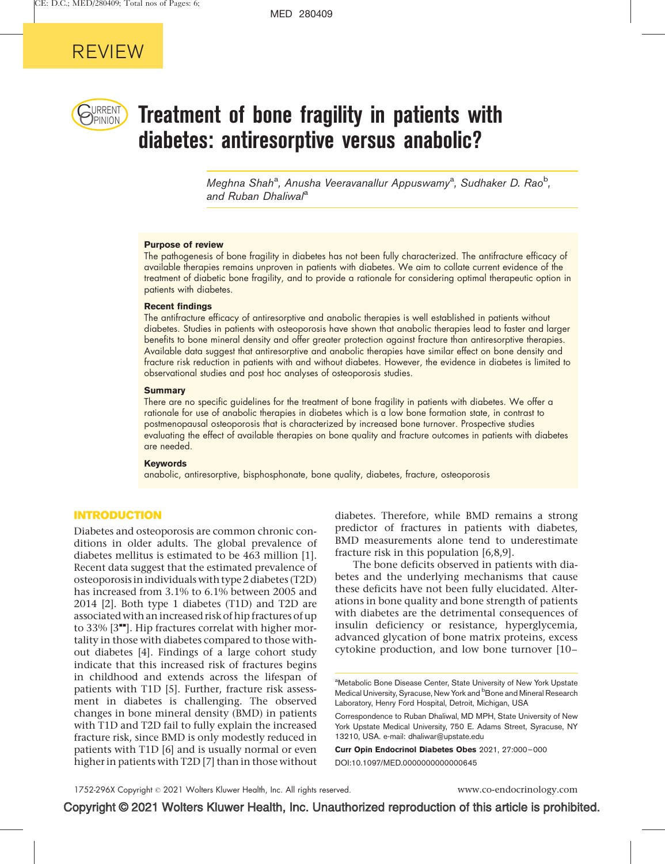

# $\bigcup_{PINION}$  Treatment of bone fragility in patients with diabetes: antiresorptive versus anabolic?

Meghna Shah<sup>a</sup>, Anusha Veeravanallur Appuswamy<sup>a</sup>, Sudhaker D. Rao<sup>b</sup>, and Ruban Dhaliwal<sup>a</sup>

#### Purpose of review

The pathogenesis of bone fragility in diabetes has not been fully characterized. The antifracture efficacy of available therapies remains unproven in patients with diabetes. We aim to collate current evidence of the treatment of diabetic bone fragility, and to provide a rationale for considering optimal therapeutic option in patients with diabetes.

#### Recent findings

The antifracture efficacy of antiresorptive and anabolic therapies is well established in patients without diabetes. Studies in patients with osteoporosis have shown that anabolic therapies lead to faster and larger benefits to bone mineral density and offer greater protection against fracture than antiresorptive therapies. Available data suggest that antiresorptive and anabolic therapies have similar effect on bone density and fracture risk reduction in patients with and without diabetes. However, the evidence in diabetes is limited to observational studies and post hoc analyses of osteoporosis studies.

#### **Summary**

There are no specific guidelines for the treatment of bone fragility in patients with diabetes. We offer a rationale for use of anabolic therapies in diabetes which is a low bone formation state, in contrast to postmenopausal osteoporosis that is characterized by increased bone turnover. Prospective studies evaluating the effect of available therapies on bone quality and fracture outcomes in patients with diabetes are needed.

#### Keywords

anabolic, antiresorptive, bisphosphonate, bone quality, diabetes, fracture, osteoporosis

## INTRODUCTION

Diabetes and osteoporosis are common chronic conditions in older adults. The global prevalence of diabetes mellitus is estimated to be 463 million [\[1\]](#page-5-0). Recent data suggest that the estimated prevalence of osteoporosis in individuals with type 2 diabetes (T2D) has increased from 3.1% to 6.1% between 2005 and 2014 [\[2\]](#page-5-0). Both type 1 diabetes (T1D) and T2D are associated with an increased risk of hip fractures of up to 33%  $[3"']$  $[3"']$ . Hip fractures correlat with higher mortality in those with diabetes compared to those without diabetes [\[4\].](#page-6-0) Findings of a large cohort study indicate that this increased risk of fractures begins in childhood and extends across the lifespan of patients with T1D [\[5\].](#page-6-0) Further, fracture risk assessment in diabetes is challenging. The observed changes in bone mineral density (BMD) in patients with T1D and T2D fail to fully explain the increased fracture risk, since BMD is only modestly reduced in patients with T1D [\[6\]](#page-6-0) and is usually normal or even higher in patients with T2D [\[7\]](#page-6-0) than in those without

diabetes. Therefore, while BMD remains a strong predictor of fractures in patients with diabetes, BMD measurements alone tend to underestimate fracture risk in this population [\[6,8,9\].](#page-6-0)

The bone deficits observed in patients with diabetes and the underlying mechanisms that cause these deficits have not been fully elucidated. Alterations in bone quality and bone strength of patients with diabetes are the detrimental consequences of insulin deficiency or resistance, hyperglycemia, advanced glycation of bone matrix proteins, excess cytokine production, and low bone turnover [\[10–](#page-6-0)

Curr Opin Endocrinol Diabetes Obes 2021, 27:000–000 DOI:10.1097/MED.0000000000000645

<sup>&</sup>lt;sup>a</sup>Metabolic Bone Disease Center, State University of New York Upstate Medical University, Syracuse, New York and <sup>b</sup>Bone and Mineral Research Laboratory, Henry Ford Hospital, Detroit, Michigan, USA

Correspondence to Ruban Dhaliwal, MD MPH, State University of New York Upstate Medical University, 750 E. Adams Street, Syracuse, NY 13210, USA. e-mail: [dhaliwar@upstate.edu](mailto:dhaliwar@upstate.edu)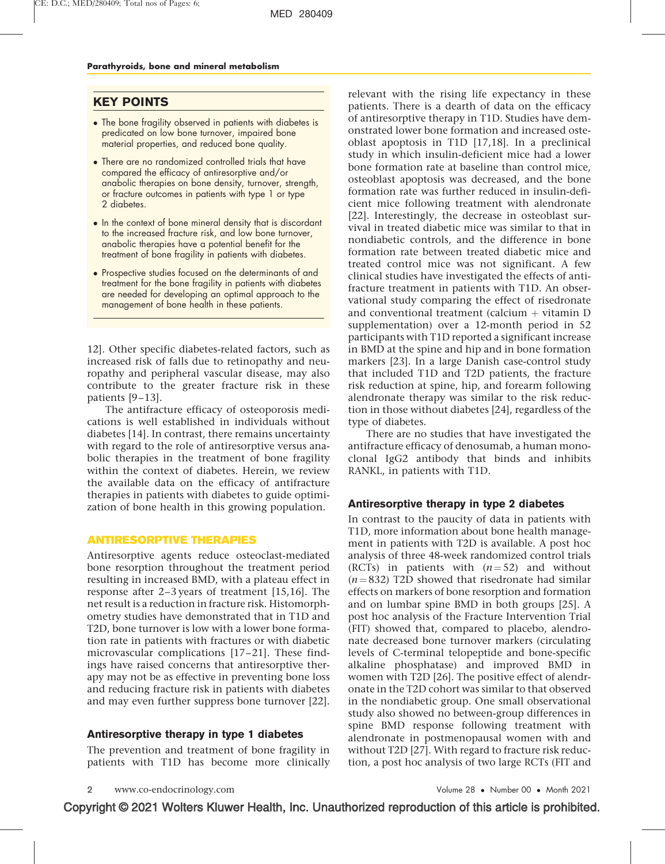## KEY POINTS

- The bone fragility observed in patients with diabetes is predicated on low bone turnover, impaired bone material properties, and reduced bone quality.
- There are no randomized controlled trials that have compared the efficacy of antiresorptive and/or anabolic therapies on bone density, turnover, strength, or fracture outcomes in patients with type 1 or type 2 diabetes.
- $\bullet$  In the context of bone mineral density that is discordant to the increased fracture risk, and low bone turnover, anabolic therapies have a potential benefit for the treatment of bone fragility in patients with diabetes.
- Prospective studies focused on the determinants of and treatment for the bone fragility in patients with diabetes are needed for developing an optimal approach to the management of bone health in these patients.

[12\].](#page-6-0) Other specific diabetes-related factors, such as increased risk of falls due to retinopathy and neuropathy and peripheral vascular disease, may also contribute to the greater fracture risk in these patients [\[9–13\].](#page-6-0)

The antifracture efficacy of osteoporosis medications is well established in individuals without diabetes [\[14\].](#page-6-0) In contrast, there remains uncertainty with regard to the role of antiresorptive versus anabolic therapies in the treatment of bone fragility within the context of diabetes. Herein, we review the available data on the efficacy of antifracture therapies in patients with diabetes to guide optimization of bone health in this growing population.

#### ANTIRESORPTIVE THERAPIES

Antiresorptive agents reduce osteoclast-mediated bone resorption throughout the treatment period resulting in increased BMD, with a plateau effect in response after 2–3 years of treatment [\[15,16\].](#page-6-0) The net result is a reduction in fracture risk. Histomorphometry studies have demonstrated that in T1D and T2D, bone turnover is low with a lower bone formation rate in patients with fractures or with diabetic microvascular complications [\[17–21\].](#page-6-0) These findings have raised concerns that antiresorptive therapy may not be as effective in preventing bone loss and reducing fracture risk in patients with diabetes and may even further suppress bone turnover [\[22\].](#page-6-0)

### Antiresorptive therapy in type 1 diabetes

The prevention and treatment of bone fragility in patients with T1D has become more clinically relevant with the rising life expectancy in these patients. There is a dearth of data on the efficacy of antiresorptive therapy in T1D. Studies have demonstrated lower bone formation and increased osteoblast apoptosis in T1D [\[17,18\]](#page-6-0). In a preclinical study in which insulin-deficient mice had a lower bone formation rate at baseline than control mice, osteoblast apoptosis was decreased, and the bone formation rate was further reduced in insulin-deficient mice following treatment with alendronate [\[22\].](#page-6-0) Interestingly, the decrease in osteoblast survival in treated diabetic mice was similar to that in nondiabetic controls, and the difference in bone formation rate between treated diabetic mice and treated control mice was not significant. A few clinical studies have investigated the effects of antifracture treatment in patients with T1D. An observational study comparing the effect of risedronate and conventional treatment (calcium  $+$  vitamin D supplementation) over a 12-month period in 52 participants with T1D reported a significant increase in BMD at the spine and hip and in bone formation markers [\[23\].](#page-6-0) In a large Danish case-control study that included T1D and T2D patients, the fracture risk reduction at spine, hip, and forearm following alendronate therapy was similar to the risk reduction in those without diabetes [\[24\],](#page-6-0) regardless of the type of diabetes.

There are no studies that have investigated the antifracture efficacy of denosumab, a human monoclonal IgG2 antibody that binds and inhibits RANKL, in patients with T1D.

#### Antiresorptive therapy in type 2 diabetes

In contrast to the paucity of data in patients with T1D, more information about bone health management in patients with T2D is available. A post hoc analysis of three 48-week randomized control trials (RCTs) in patients with  $(n=52)$  and without  $(n = 832)$  T2D showed that risedronate had similar effects on markers of bone resorption and formation and on lumbar spine BMD in both groups [\[25\]](#page-6-0). A post hoc analysis of the Fracture Intervention Trial (FIT) showed that, compared to placebo, alendronate decreased bone turnover markers (circulating levels of C-terminal telopeptide and bone-specific alkaline phosphatase) and improved BMD in women with T2D [\[26\]](#page-6-0). The positive effect of alendronate in the T2D cohort was similar to that observed in the nondiabetic group. One small observational study also showed no between-group differences in spine BMD response following treatment with alendronate in postmenopausal women with and without T2D [\[27\].](#page-6-0) With regard to fracture risk reduction, a post hoc analysis of two large RCTs (FIT and

www.co-endocrinology.com

• Number 00 • Month 2021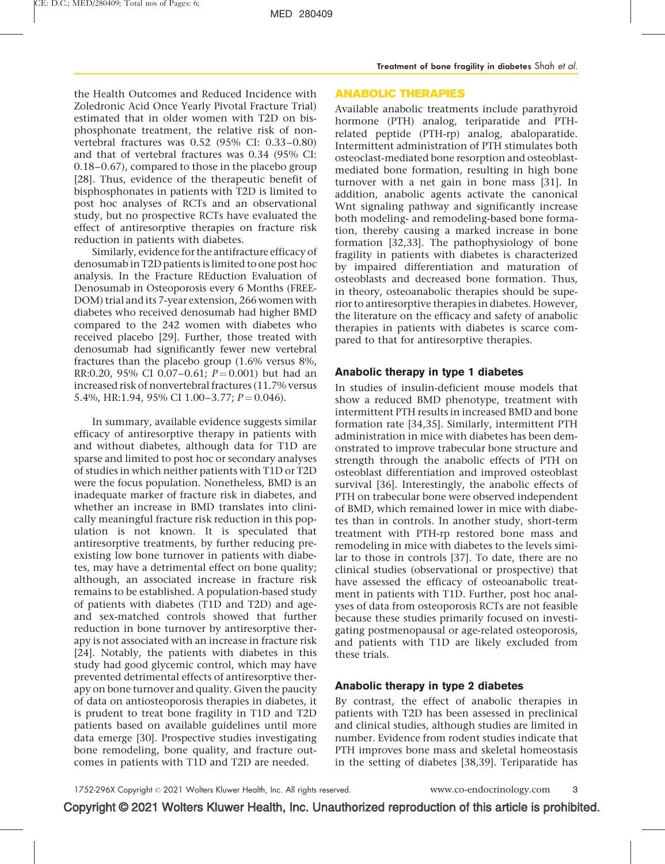the Health Outcomes and Reduced Incidence with Zoledronic Acid Once Yearly Pivotal Fracture Trial) estimated that in older women with T2D on bisphosphonate treatment, the relative risk of nonvertebral fractures was 0.52 (95% CI: 0.33–0.80) and that of vertebral fractures was 0.34 (95% CI: 0.18–0.67), compared to those in the placebo group [\[28\].](#page-6-0) Thus, evidence of the therapeutic benefit of bisphosphonates in patients with T2D is limited to post hoc analyses of RCTs and an observational study, but no prospective RCTs have evaluated the effect of antiresorptive therapies on fracture risk reduction in patients with diabetes.

Similarly, evidence for the antifracture efficacy of denosumab in T2D patients is limited to one post hoc analysis. In the Fracture REduction Evaluation of Denosumab in Osteoporosis every 6 Months (FREE-DOM) trial and its 7-year extension, 266 women with diabetes who received denosumab had higher BMD compared to the 242 women with diabetes who received placebo [\[29\]](#page-6-0). Further, those treated with denosumab had significantly fewer new vertebral fractures than the placebo group (1.6% versus 8%, RR:0.20, 95% CI 0.07-0.61;  $P = 0.001$ ) but had an increased risk of nonvertebral fractures (11.7% versus 5.4%, HR:1.94, 95% CI 1.00-3.77;  $P = 0.046$ .

In summary, available evidence suggests similar efficacy of antiresorptive therapy in patients with and without diabetes, although data for T1D are sparse and limited to post hoc or secondary analyses of studies in which neither patients with T1D or T2D were the focus population. Nonetheless, BMD is an inadequate marker of fracture risk in diabetes, and whether an increase in BMD translates into clinically meaningful fracture risk reduction in this population is not known. It is speculated that antiresorptive treatments, by further reducing preexisting low bone turnover in patients with diabetes, may have a detrimental effect on bone quality; although, an associated increase in fracture risk remains to be established. A population-based study of patients with diabetes (T1D and T2D) and ageand sex-matched controls showed that further reduction in bone turnover by antiresorptive therapy is not associated with an increase in fracture risk [\[24\].](#page-6-0) Notably, the patients with diabetes in this study had good glycemic control, which may have prevented detrimental effects of antiresorptive therapy on bone turnover and quality. Given the paucity of data on antiosteoporosis therapies in diabetes, it is prudent to treat bone fragility in T1D and T2D patients based on available guidelines until more data emerge [\[30\]](#page-6-0). Prospective studies investigating bone remodeling, bone quality, and fracture outcomes in patients with T1D and T2D are needed.

## ANABOLIC THERAPIES

Available anabolic treatments include parathyroid hormone (PTH) analog, teriparatide and PTHrelated peptide (PTH-rp) analog, abaloparatide. Intermittent administration of PTH stimulates both osteoclast-mediated bone resorption and osteoblastmediated bone formation, resulting in high bone turnover with a net gain in bone mass [\[31\]](#page-6-0). In addition, anabolic agents activate the canonical Wnt signaling pathway and significantly increase both modeling- and remodeling-based bone formation, thereby causing a marked increase in bone formation [\[32,33\].](#page-6-0) The pathophysiology of bone fragility in patients with diabetes is characterized by impaired differentiation and maturation of osteoblasts and decreased bone formation. Thus, in theory, osteoanabolic therapies should be superior to antiresorptive therapies in diabetes. However, the literature on the efficacy and safety of anabolic therapies in patients with diabetes is scarce compared to that for antiresorptive therapies.

## Anabolic therapy in type 1 diabetes

In studies of insulin-deficient mouse models that show a reduced BMD phenotype, treatment with intermittent PTH results in increased BMD and bone formation rate [\[34,35\].](#page-6-0) Similarly, intermittent PTH administration in mice with diabetes has been demonstrated to improve trabecular bone structure and strength through the anabolic effects of PTH on osteoblast differentiation and improved osteoblast survival [\[36\].](#page-6-0) Interestingly, the anabolic effects of PTH on trabecular bone were observed independent of BMD, which remained lower in mice with diabetes than in controls. In another study, short-term treatment with PTH-rp restored bone mass and remodeling in mice with diabetes to the levels similar to those in controls [\[37\].](#page-6-0) To date, there are no clinical studies (observational or prospective) that have assessed the efficacy of osteoanabolic treatment in patients with T1D. Further, post hoc analyses of data from osteoporosis RCTs are not feasible because these studies primarily focused on investigating postmenopausal or age-related osteoporosis, and patients with T1D are likely excluded from these trials.

## Anabolic therapy in type 2 diabetes

By contrast, the effect of anabolic therapies in patients with T2D has been assessed in preclinical and clinical studies, although studies are limited in number. Evidence from rodent studies indicate that PTH improves bone mass and skeletal homeostasis in the setting of diabetes [\[38,39\]](#page-6-0). Teriparatide has

1752-296X Copyright © 2021 Wolters Kluwer Health, Inc. All rights reserved. www.co-endocrinology.com 3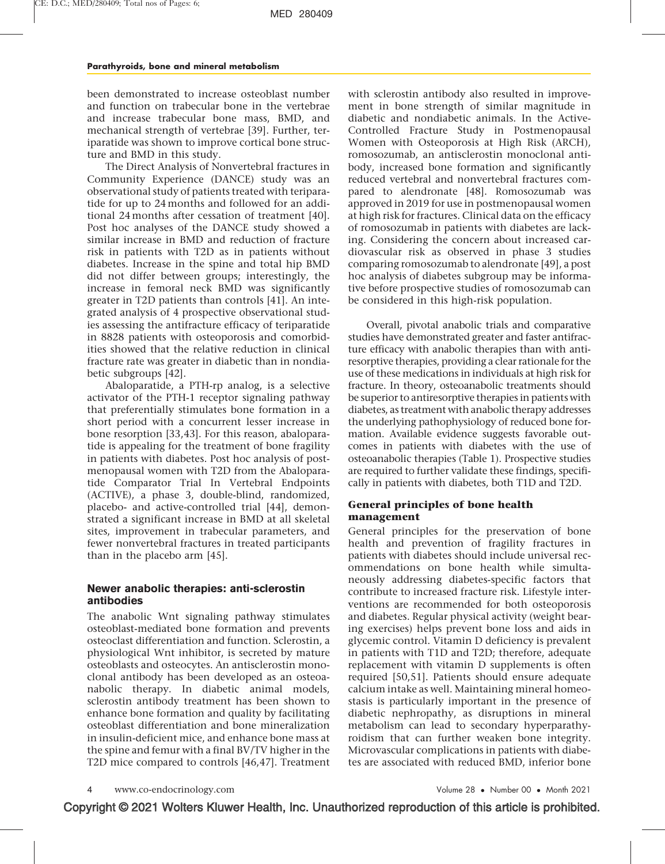been demonstrated to increase osteoblast number and function on trabecular bone in the vertebrae and increase trabecular bone mass, BMD, and mechanical strength of vertebrae [\[39\]](#page-6-0). Further, teriparatide was shown to improve cortical bone structure and BMD in this study.

The Direct Analysis of Nonvertebral fractures in Community Experience (DANCE) study was an observational study of patients treated with teriparatide for up to 24 months and followed for an additional 24 months after cessation of treatment [\[40\].](#page-6-0) Post hoc analyses of the DANCE study showed a similar increase in BMD and reduction of fracture risk in patients with T2D as in patients without diabetes. Increase in the spine and total hip BMD did not differ between groups; interestingly, the increase in femoral neck BMD was significantly greater in T2D patients than controls [\[41\].](#page-6-0) An integrated analysis of 4 prospective observational studies assessing the antifracture efficacy of teriparatide in 8828 patients with osteoporosis and comorbidities showed that the relative reduction in clinical fracture rate was greater in diabetic than in nondiabetic subgroups [\[42\]](#page-6-0).

Abaloparatide, a PTH-rp analog, is a selective activator of the PTH-1 receptor signaling pathway that preferentially stimulates bone formation in a short period with a concurrent lesser increase in bone resorption [\[33,43\].](#page-6-0) For this reason, abaloparatide is appealing for the treatment of bone fragility in patients with diabetes. Post hoc analysis of postmenopausal women with T2D from the Abaloparatide Comparator Trial In Vertebral Endpoints (ACTIVE), a phase 3, double-blind, randomized, placebo- and active-controlled trial [\[44\]](#page-6-0), demonstrated a significant increase in BMD at all skeletal sites, improvement in trabecular parameters, and fewer nonvertebral fractures in treated participants than in the placebo arm [\[45\].](#page-6-0)

## Newer anabolic therapies: anti-sclerostin antibodies

The anabolic Wnt signaling pathway stimulates osteoblast-mediated bone formation and prevents osteoclast differentiation and function. Sclerostin, a physiological Wnt inhibitor, is secreted by mature osteoblasts and osteocytes. An antisclerostin monoclonal antibody has been developed as an osteoanabolic therapy. In diabetic animal models, sclerostin antibody treatment has been shown to enhance bone formation and quality by facilitating osteoblast differentiation and bone mineralization in insulin-deficient mice, and enhance bone mass at the spine and femur with a final BV/TV higher in the T2D mice compared to controls [\[46,47\]](#page-6-0). Treatment

with sclerostin antibody also resulted in improvement in bone strength of similar magnitude in diabetic and nondiabetic animals. In the Active-Controlled Fracture Study in Postmenopausal Women with Osteoporosis at High Risk (ARCH), romosozumab, an antisclerostin monoclonal antibody, increased bone formation and significantly reduced vertebral and nonvertebral fractures compared to alendronate [\[48\].](#page-6-0) Romosozumab was approved in 2019 for use in postmenopausal women at high risk for fractures. Clinical data on the efficacy of romosozumab in patients with diabetes are lacking. Considering the concern about increased cardiovascular risk as observed in phase 3 studies comparing romosozumab to alendronate [\[49\]](#page-6-0), a post hoc analysis of diabetes subgroup may be informative before prospective studies of romosozumab can be considered in this high-risk population.

Overall, pivotal anabolic trials and comparative studies have demonstrated greater and faster antifracture efficacy with anabolic therapies than with antiresorptive therapies, providing a clear rationale for the use of these medications in individuals at high risk for fracture. In theory, osteoanabolic treatments should be superior to antiresorptive therapies in patients with diabetes, as treatment with anabolic therapy addresses the underlying pathophysiology of reduced bone formation. Available evidence suggests favorable outcomes in patients with diabetes with the use of osteoanabolic therapies (Table 1). Prospective studies are required to further validate these findings, specifically in patients with diabetes, both T1D and T2D.

## General principles of bone health management

General principles for the preservation of bone health and prevention of fragility fractures in patients with diabetes should include universal recommendations on bone health while simultaneously addressing diabetes-specific factors that contribute to increased fracture risk. Lifestyle interventions are recommended for both osteoporosis and diabetes. Regular physical activity (weight bearing exercises) helps prevent bone loss and aids in glycemic control. Vitamin D deficiency is prevalent in patients with T1D and T2D; therefore, adequate replacement with vitamin D supplements is often required [\[50,51\].](#page-6-0) Patients should ensure adequate calcium intake as well. Maintaining mineral homeostasis is particularly important in the presence of diabetic nephropathy, as disruptions in mineral metabolism can lead to secondary hyperparathyroidism that can further weaken bone integrity. Microvascular complications in patients with diabetes are associated with reduced BMD, inferior bone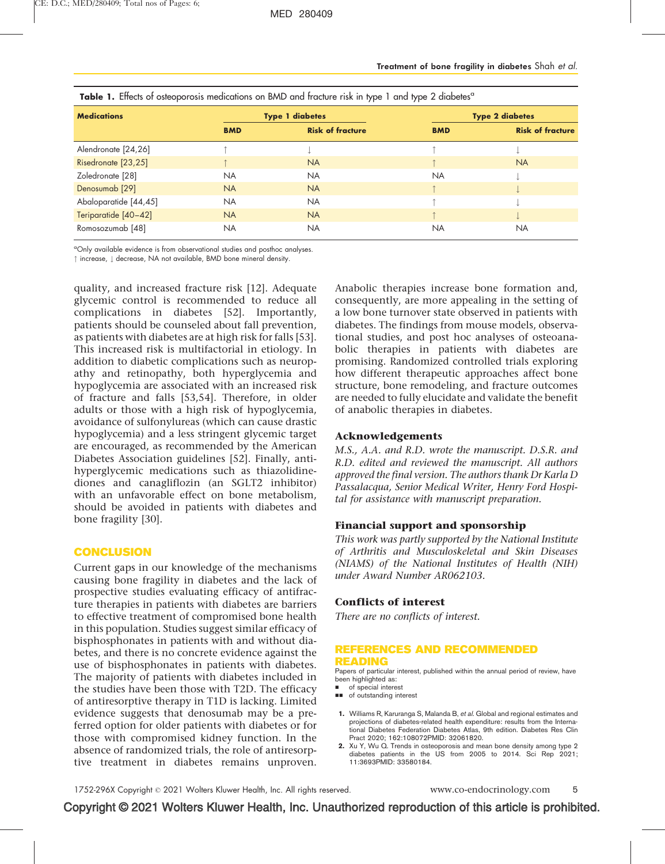| <b>Table 1.</b> Effects of osteoporosis medications on BMD and tracture risk in type 1 and type 2 diabetes <sup>a</sup> |                        |                         |                        |                         |
|-------------------------------------------------------------------------------------------------------------------------|------------------------|-------------------------|------------------------|-------------------------|
| <b>Medications</b>                                                                                                      | <b>Type 1 diabetes</b> |                         | <b>Type 2 diabetes</b> |                         |
|                                                                                                                         | <b>BMD</b>             | <b>Risk of fracture</b> | <b>BMD</b>             | <b>Risk of fracture</b> |
| Alendronate [24,26]                                                                                                     |                        |                         |                        |                         |
| Risedronate [23,25]                                                                                                     |                        | <b>NA</b>               |                        | <b>NA</b>               |
| Zoledronate [28]                                                                                                        | NA.                    | NA.                     | <b>NA</b>              |                         |
| Denosumab [29]                                                                                                          | <b>NA</b>              | <b>NA</b>               |                        |                         |
| Abaloparatide [44,45]                                                                                                   | <b>NA</b>              | <b>NA</b>               |                        |                         |
| Teriparatide [40-42]                                                                                                    | <b>NA</b>              | <b>NA</b>               |                        |                         |
| Romosozumab [48]                                                                                                        | <b>NA</b>              | NA.                     | <b>NA</b>              | <b>NA</b>               |

<span id="page-5-0"></span>Table 1. Effects of osteoporosis medications on BMD and fracture risk in type 1 and type 2 diabetes<sup>a</sup>

<sup>a</sup>Only available evidence is from observational studies and posthoc analyses.

 $\uparrow$  increase,  $\downarrow$  decrease, NA not available, BMD bone mineral density.

quality, and increased fracture risk [\[12\]](#page-6-0). Adequate glycemic control is recommended to reduce all complications in diabetes [\[52\]](#page-6-0). Importantly, patients should be counseled about fall prevention, as patients with diabetes are at high risk for falls [\[53\]](#page-6-0). This increased risk is multifactorial in etiology. In addition to diabetic complications such as neuropathy and retinopathy, both hyperglycemia and hypoglycemia are associated with an increased risk of fracture and falls [\[53,54\]](#page-6-0). Therefore, in older adults or those with a high risk of hypoglycemia, avoidance of sulfonylureas (which can cause drastic hypoglycemia) and a less stringent glycemic target are encouraged, as recommended by the American Diabetes Association guidelines [\[52\]](#page-6-0). Finally, antihyperglycemic medications such as thiazolidinediones and canagliflozin (an SGLT2 inhibitor) with an unfavorable effect on bone metabolism, should be avoided in patients with diabetes and bone fragility [\[30\]](#page-6-0).

## **CONCLUSION**

Current gaps in our knowledge of the mechanisms causing bone fragility in diabetes and the lack of prospective studies evaluating efficacy of antifracture therapies in patients with diabetes are barriers to effective treatment of compromised bone health in this population. Studies suggest similar efficacy of bisphosphonates in patients with and without diabetes, and there is no concrete evidence against the use of bisphosphonates in patients with diabetes. The majority of patients with diabetes included in the studies have been those with T2D. The efficacy of antiresorptive therapy in T1D is lacking. Limited evidence suggests that denosumab may be a preferred option for older patients with diabetes or for those with compromised kidney function. In the absence of randomized trials, the role of antiresorptive treatment in diabetes remains unproven.

Anabolic therapies increase bone formation and, consequently, are more appealing in the setting of a low bone turnover state observed in patients with diabetes. The findings from mouse models, observational studies, and post hoc analyses of osteoanabolic therapies in patients with diabetes are promising. Randomized controlled trials exploring how different therapeutic approaches affect bone structure, bone remodeling, and fracture outcomes are needed to fully elucidate and validate the benefit of anabolic therapies in diabetes.

## Acknowledgements

M.S., A.A. and R.D. wrote the manuscript. D.S.R. and R.D. edited and reviewed the manuscript. All authors approved the final version. The authors thank Dr Karla D Passalacqua, Senior Medical Writer, Henry Ford Hospital for assistance with manuscript preparation.

## Financial support and sponsorship

This work was partly supported by the National Institute of Arthritis and Musculoskeletal and Skin Diseases (NIAMS) of the National Institutes of Health (NIH) under Award Number AR062103.

## Conflicts of interest

There are no conflicts of interest.

#### REFERENCES AND RECOMMENDED READING

Papers of particular interest, published within the annual period of review, have been highlighted as:

- of special interest
- $\blacksquare$  of outstanding interest

1. Williams R, Karuranga S, Malanda B, et al. Global and regional estimates and projections of diabetes-related health expenditure: results from the International Diabetes Federation Diabetes Atlas, 9th edition. Diabetes Res Clin Pract 2020; 162:108072PMID: 32061820.

2. Xu Y, Wu Q. Trends in osteoporosis and mean bone density among type 2 diabetes patients in the US from 2005 to 2014. Sci Rep 2021; 11:3693PMID: 33580184.

1752-296X Copyright © 2021 Wolters Kluwer Health, Inc. All rights reserved. www.co-endocrinology.com 5